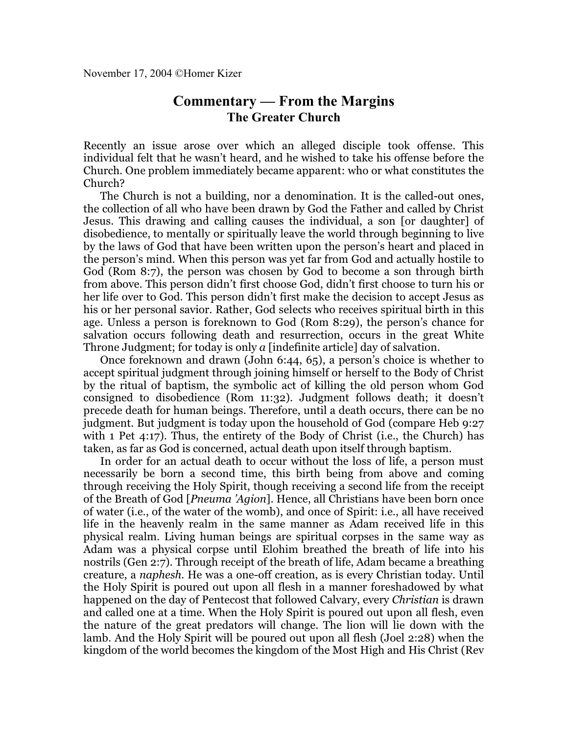## **Commentary — From the Margins The Greater Church**

Recently an issue arose over which an alleged disciple took offense. This individual felt that he wasn't heard, and he wished to take his offense before the Church. One problem immediately became apparent: who or what constitutes the Church?

The Church is not a building, nor a denomination. It is the called-out ones, the collection of all who have been drawn by God the Father and called by Christ Jesus. This drawing and calling causes the individual, a son [or daughter] of disobedience, to mentally or spiritually leave the world through beginning to live by the laws of God that have been written upon the person's heart and placed in the person's mind. When this person was yet far from God and actually hostile to God (Rom 8:7), the person was chosen by God to become a son through birth from above. This person didn't first choose God, didn't first choose to turn his or her life over to God. This person didn't first make the decision to accept Jesus as his or her personal savior. Rather, God selects who receives spiritual birth in this age. Unless a person is foreknown to God (Rom 8:29), the person's chance for salvation occurs following death and resurrection, occurs in the great White Throne Judgment; for today is only *a* [indefinite article] day of salvation.

Once foreknown and drawn (John 6:44, 65), a person's choice is whether to accept spiritual judgment through joining himself or herself to the Body of Christ by the ritual of baptism, the symbolic act of killing the old person whom God consigned to disobedience (Rom 11:32). Judgment follows death; it doesn't precede death for human beings. Therefore, until a death occurs, there can be no judgment. But judgment is today upon the household of God (compare Heb 9:27 with 1 Pet 4:17). Thus, the entirety of the Body of Christ (i.e., the Church) has taken, as far as God is concerned, actual death upon itself through baptism.

In order for an actual death to occur without the loss of life, a person must necessarily be born a second time, this birth being from above and coming through receiving the Holy Spirit, though receiving a second life from the receipt of the Breath of God [*Pneuma 'Agion*]. Hence, all Christians have been born once of water (i.e., of the water of the womb), and once of Spirit: i.e., all have received life in the heavenly realm in the same manner as Adam received life in this physical realm. Living human beings are spiritual corpses in the same way as Adam was a physical corpse until Elohim breathed the breath of life into his nostrils (Gen 2:7). Through receipt of the breath of life, Adam became a breathing creature, a *naphesh*. He was a one-off creation, as is every Christian today. Until the Holy Spirit is poured out upon all flesh in a manner foreshadowed by what happened on the day of Pentecost that followed Calvary, every *Christian* is drawn and called one at a time. When the Holy Spirit is poured out upon all flesh, even the nature of the great predators will change. The lion will lie down with the lamb. And the Holy Spirit will be poured out upon all flesh (Joel 2:28) when the kingdom of the world becomes the kingdom of the Most High and His Christ (Rev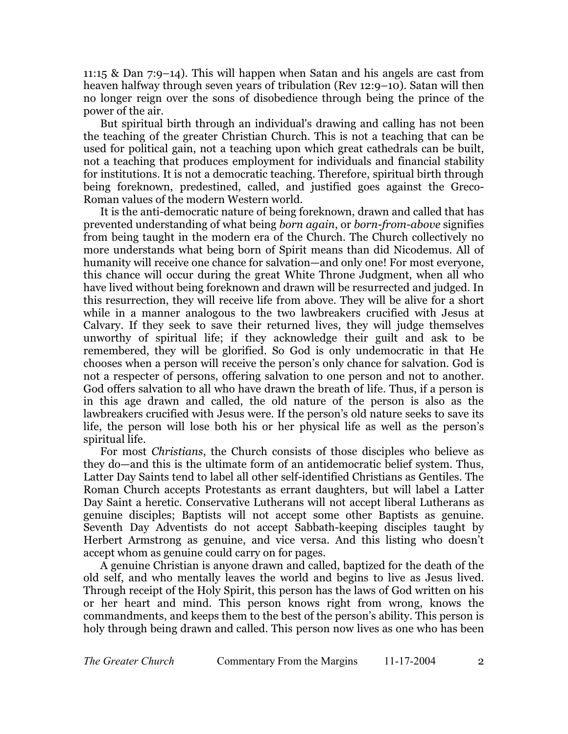11:15 & Dan 7:9–14). This will happen when Satan and his angels are cast from heaven halfway through seven years of tribulation (Rev 12:9–10). Satan will then no longer reign over the sons of disobedience through being the prince of the power of the air.

But spiritual birth through an individual's drawing and calling has not been the teaching of the greater Christian Church. This is not a teaching that can be used for political gain, not a teaching upon which great cathedrals can be built, not a teaching that produces employment for individuals and financial stability for institutions. It is not a democratic teaching. Therefore, spiritual birth through being foreknown, predestined, called, and justified goes against the Greco-Roman values of the modern Western world.

It is the anti-democratic nature of being foreknown, drawn and called that has prevented understanding of what being *born again*, or *born-from-above* signifies from being taught in the modern era of the Church. The Church collectively no more understands what being born of Spirit means than did Nicodemus. All of humanity will receive one chance for salvation—and only one! For most everyone, this chance will occur during the great White Throne Judgment, when all who have lived without being foreknown and drawn will be resurrected and judged. In this resurrection, they will receive life from above. They will be alive for a short while in a manner analogous to the two lawbreakers crucified with Jesus at Calvary. If they seek to save their returned lives, they will judge themselves unworthy of spiritual life; if they acknowledge their guilt and ask to be remembered, they will be glorified. So God is only undemocratic in that He chooses when a person will receive the person's only chance for salvation. God is not a respecter of persons, offering salvation to one person and not to another. God offers salvation to all who have drawn the breath of life. Thus, if a person is in this age drawn and called, the old nature of the person is also as the lawbreakers crucified with Jesus were. If the person's old nature seeks to save its life, the person will lose both his or her physical life as well as the person's spiritual life.

For most *Christians*, the Church consists of those disciples who believe as they do—and this is the ultimate form of an antidemocratic belief system. Thus, Latter Day Saints tend to label all other self-identified Christians as Gentiles. The Roman Church accepts Protestants as errant daughters, but will label a Latter Day Saint a heretic. Conservative Lutherans will not accept liberal Lutherans as genuine disciples; Baptists will not accept some other Baptists as genuine. Seventh Day Adventists do not accept Sabbath-keeping disciples taught by Herbert Armstrong as genuine, and vice versa. And this listing who doesn't accept whom as genuine could carry on for pages.

A genuine Christian is anyone drawn and called, baptized for the death of the old self, and who mentally leaves the world and begins to live as Jesus lived. Through receipt of the Holy Spirit, this person has the laws of God written on his or her heart and mind. This person knows right from wrong, knows the commandments, and keeps them to the best of the person's ability. This person is holy through being drawn and called. This person now lives as one who has been

*The Greater Church* Commentary From the Margins 11-17-2004 2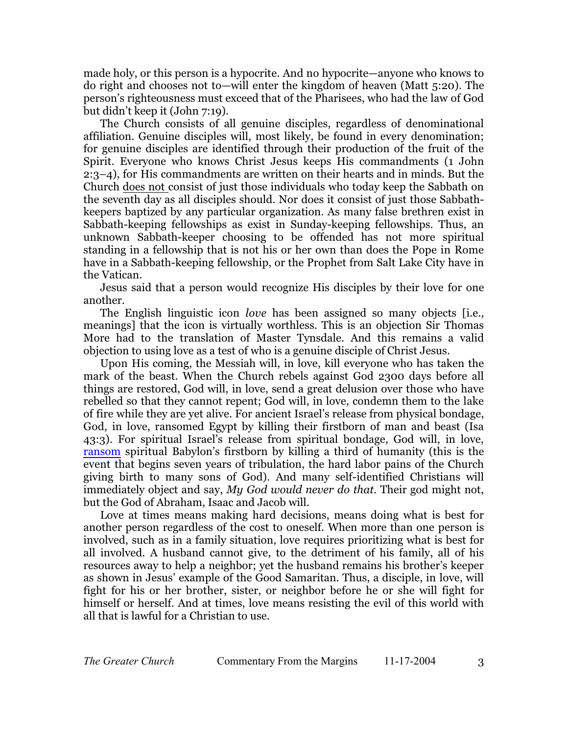made holy, or this person is a hypocrite. And no hypocrite—anyone who knows to do right and chooses not to—will enter the kingdom of heaven (Matt 5:20). The person's righteousness must exceed that of the Pharisees, who had the law of God but didn't keep it (John 7:19).

The Church consists of all genuine disciples, regardless of denominational affiliation. Genuine disciples will, most likely, be found in every denomination; for genuine disciples are identified through their production of the fruit of the Spirit. Everyone who knows Christ Jesus keeps His commandments (1 John 2:3–4), for His commandments are written on their hearts and in minds. But the Church does not consist of just those individuals who today keep the Sabbath on the seventh day as all disciples should. Nor does it consist of just those Sabbathkeepers baptized by any particular organization. As many false brethren exist in Sabbath-keeping fellowships as exist in Sunday-keeping fellowships. Thus, an unknown Sabbath-keeper choosing to be offended has not more spiritual standing in a fellowship that is not his or her own than does the Pope in Rome have in a Sabbath-keeping fellowship, or the Prophet from Salt Lake City have in the Vatican.

Jesus said that a person would recognize His disciples by their love for one another.

The English linguistic icon *love* has been assigned so many objects [i.e., meanings] that the icon is virtually worthless. This is an objection Sir Thomas More had to the translation of Master Tynsdale. And this remains a valid objection to using love as a test of who is a genuine disciple of Christ Jesus.

Upon His coming, the Messiah will, in love, kill everyone who has taken the mark of the beast. When the Church rebels against God 2300 days before all things are restored, God will, in love, send a great delusion over those who have rebelled so that they cannot repent; God will, in love, condemn them to the lake of fire while they are yet alive. For ancient Israel's release from physical bondage, God, in love, ransomed Egypt by killing their firstborn of man and beast (Isa 43:3). For spiritual Israel's release from spiritual bondage, God will, in love, [ransom](http://secondpassover.homerkizer.org/) spiritual Babylon's firstborn by killing a third of humanity (this is the event that begins seven years of tribulation, the hard labor pains of the Church giving birth to many sons of God). And many self-identified Christians will immediately object and say, *My God would never do that*. Their god might not, but the God of Abraham, Isaac and Jacob will.

Love at times means making hard decisions, means doing what is best for another person regardless of the cost to oneself. When more than one person is involved, such as in a family situation, love requires prioritizing what is best for all involved. A husband cannot give, to the detriment of his family, all of his resources away to help a neighbor; yet the husband remains his brother's keeper as shown in Jesus' example of the Good Samaritan. Thus, a disciple, in love, will fight for his or her brother, sister, or neighbor before he or she will fight for himself or herself. And at times, love means resisting the evil of this world with all that is lawful for a Christian to use.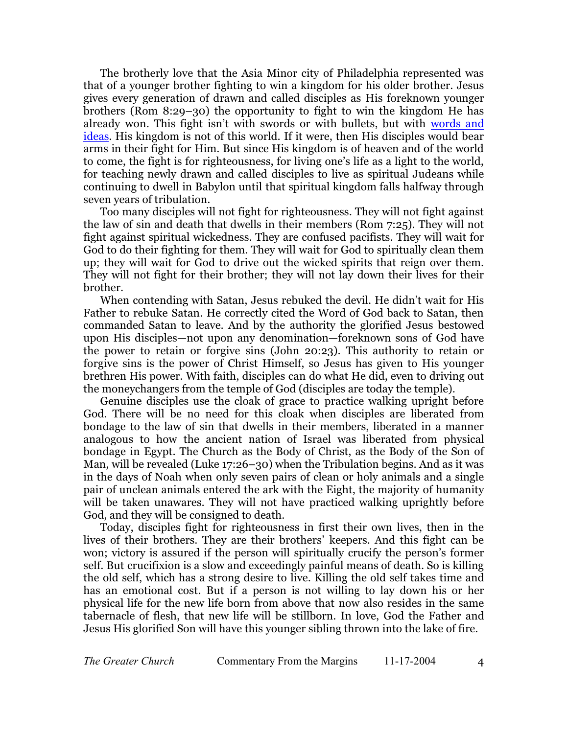The brotherly love that the Asia Minor city of Philadelphia represented was that of a younger brother fighting to win a kingdom for his older brother. Jesus gives every generation of drawn and called disciples as His foreknown younger brothers (Rom 8:29–30) the opportunity to fight to win the kingdom He has already won. This fight isn't with swords or with bullets, but with [words and](http://thephiladelphiachurch.org/) [ideas](http://thephiladelphiachurch.org/). His kingdom is not of this world. If it were, then His disciples would bear arms in their fight for Him. But since His kingdom is of heaven and of the world to come, the fight is for righteousness, for living one's life as a light to the world, for teaching newly drawn and called disciples to live as spiritual Judeans while continuing to dwell in Babylon until that spiritual kingdom falls halfway through seven years of tribulation.

Too many disciples will not fight for righteousness. They will not fight against the law of sin and death that dwells in their members (Rom 7:25). They will not fight against spiritual wickedness. They are confused pacifists. They will wait for God to do their fighting for them. They will wait for God to spiritually clean them up; they will wait for God to drive out the wicked spirits that reign over them. They will not fight for their brother; they will not lay down their lives for their brother.

When contending with Satan, Jesus rebuked the devil. He didn't wait for His Father to rebuke Satan. He correctly cited the Word of God back to Satan, then commanded Satan to leave. And by the authority the glorified Jesus bestowed upon His disciples—not upon any denomination—foreknown sons of God have the power to retain or forgive sins (John 20:23). This authority to retain or forgive sins is the power of Christ Himself, so Jesus has given to His younger brethren His power. With faith, disciples can do what He did, even to driving out the moneychangers from the temple of God (disciples are today the temple).

Genuine disciples use the cloak of grace to practice walking upright before God. There will be no need for this cloak when disciples are liberated from bondage to the law of sin that dwells in their members, liberated in a manner analogous to how the ancient nation of Israel was liberated from physical bondage in Egypt. The Church as the Body of Christ, as the Body of the Son of Man, will be revealed (Luke 17:26–30) when the Tribulation begins. And as it was in the days of Noah when only seven pairs of clean or holy animals and a single pair of unclean animals entered the ark with the Eight, the majority of humanity will be taken unawares. They will not have practiced walking uprightly before God, and they will be consigned to death.

Today, disciples fight for righteousness in first their own lives, then in the lives of their brothers. They are their brothers' keepers. And this fight can be won; victory is assured if the person will spiritually crucify the person's former self. But crucifixion is a slow and exceedingly painful means of death. So is killing the old self, which has a strong desire to live. Killing the old self takes time and has an emotional cost. But if a person is not willing to lay down his or her physical life for the new life born from above that now also resides in the same tabernacle of flesh, that new life will be stillborn. In love, God the Father and Jesus His glorified Son will have this younger sibling thrown into the lake of fire.

*The Greater Church* Commentary From the Margins 11-17-2004 4